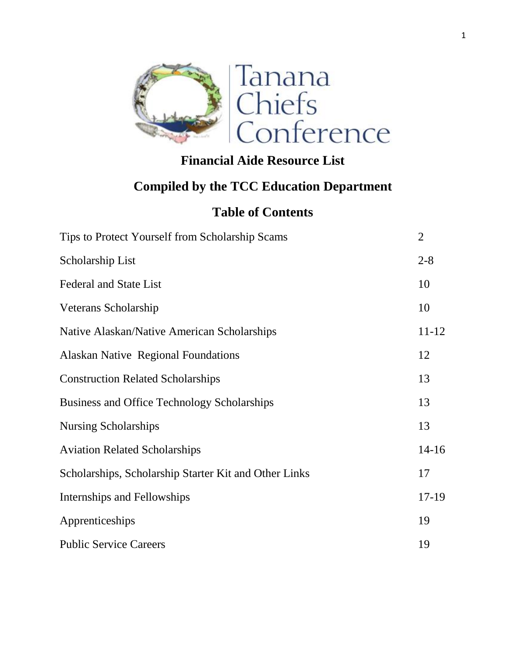

# **Financial Aide Resource List**

# **Compiled by the TCC Education Department**

## **Table of Contents**

| Tips to Protect Yourself from Scholarship Scams       | $\overline{2}$ |
|-------------------------------------------------------|----------------|
| Scholarship List                                      | $2 - 8$        |
| <b>Federal and State List</b>                         | 10             |
| Veterans Scholarship                                  | 10             |
| Native Alaskan/Native American Scholarships           | $11 - 12$      |
| <b>Alaskan Native Regional Foundations</b>            | 12             |
| <b>Construction Related Scholarships</b>              | 13             |
| Business and Office Technology Scholarships           | 13             |
| <b>Nursing Scholarships</b>                           | 13             |
| <b>Aviation Related Scholarships</b>                  | $14 - 16$      |
| Scholarships, Scholarship Starter Kit and Other Links | 17             |
| Internships and Fellowships                           | $17-19$        |
| Apprenticeships                                       | 19             |
| <b>Public Service Careers</b>                         | 19             |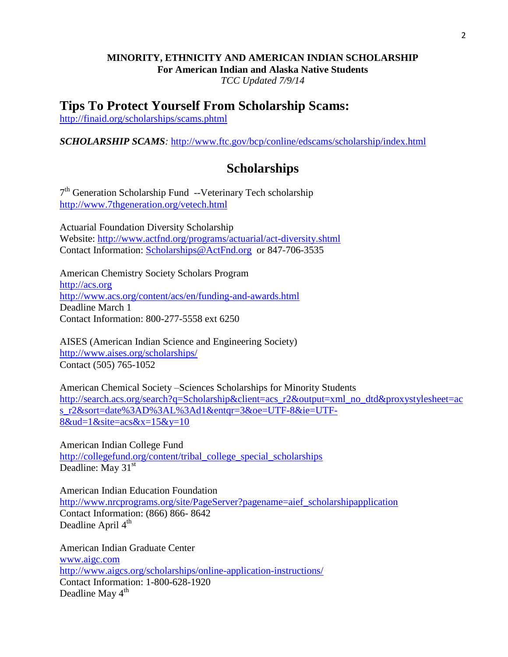## **MINORITY, ETHNICITY AND AMERICAN INDIAN SCHOLARSHIP For American Indian and Alaska Native Students**

*TCC Updated 7/9/14*

## **Tips To Protect Yourself From Scholarship Scams:**

<http://finaid.org/scholarships/scams.phtml>

*SCHOLARSHIP SCAMS:* <http://www.ftc.gov/bcp/conline/edscams/scholarship/index.html>

## **Scholarships**

7<sup>th</sup> Generation Scholarship Fund --Veterinary Tech scholarship <http://www.7thgeneration.org/vetech.html>

Actuarial Foundation Diversity Scholarship Website:<http://www.actfnd.org/programs/actuarial/act-diversity.shtml> Contact Information: [Scholarships@ActFnd.org](mailto:Scholarships@ActFnd.org) or 847-706-3535

American Chemistry Society Scholars Program [http://acs.org](http://acs.org/) <http://www.acs.org/content/acs/en/funding-and-awards.html> Deadline March 1 Contact Information: 800-277-5558 ext 6250

AISES (American Indian Science and Engineering Society) <http://www.aises.org/scholarships/> Contact (505) 765-1052

American Chemical Society –Sciences Scholarships for Minority Students [http://search.acs.org/search?q=Scholarship&client=acs\\_r2&output=xml\\_no\\_dtd&proxystylesheet=ac](http://search.acs.org/search?q=Scholarship&client=acs_r2&output=xml_no_dtd&proxystylesheet=acs_r2&sort=date%3AD%3AL%3Ad1&entqr=3&oe=UTF-8&ie=UTF-8&ud=1&site=acs&x=15&y=10) [s\\_r2&sort=date%3AD%3AL%3Ad1&entqr=3&oe=UTF-8&ie=UTF-](http://search.acs.org/search?q=Scholarship&client=acs_r2&output=xml_no_dtd&proxystylesheet=acs_r2&sort=date%3AD%3AL%3Ad1&entqr=3&oe=UTF-8&ie=UTF-8&ud=1&site=acs&x=15&y=10) $8&ud=1&site=acs&x=15&y=10$ 

American Indian College Fund [http://collegefund.org/content/tribal\\_college\\_special\\_scholarships](http://collegefund.org/content/tribal_college_special_scholarships) Deadline: May  $31<sup>st</sup>$ 

American Indian Education Foundation [http://www.nrcprograms.org/site/PageServer?pagename=aief\\_scholarshipapplication](http://www.nrcprograms.org/site/PageServer?pagename=aief_scholarshipapplication) Contact Information: (866) 866- 8642 Deadline April  $4<sup>th</sup>$ 

American Indian Graduate Center [www.aigc.com](http://www.aigc.com/) <http://www.aigcs.org/scholarships/online-application-instructions/> Contact Information: 1-800-628-1920 Deadline May  $4<sup>th</sup>$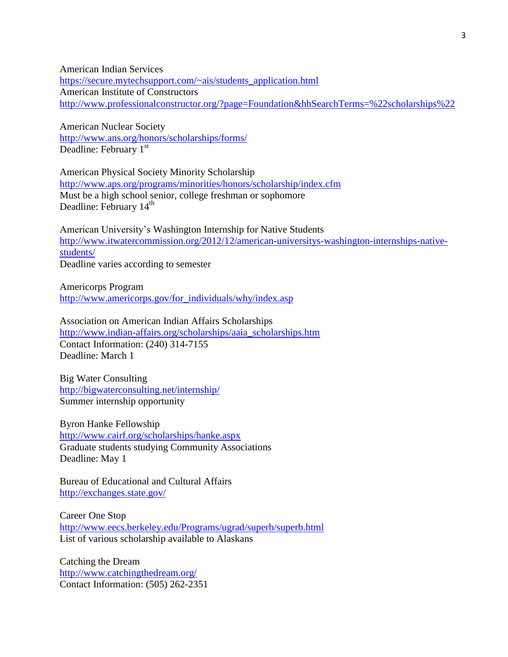American Indian Services [https://secure.mytechsupport.com/~ais/students\\_application.html](https://secure.mytechsupport.com/~ais/students_application.html) American Institute of Constructors <http://www.professionalconstructor.org/?page=Foundation&hhSearchTerms=%22scholarships%22>

American Nuclear Society <http://www.ans.org/honors/scholarships/forms/> Deadline: February  $1<sup>st</sup>$ 

American Physical Society Minority Scholarship <http://www.aps.org/programs/minorities/honors/scholarship/index.cfm> Must be a high school senior, college freshman or sophomore Deadline: February 14<sup>th</sup>

American University's Washington Internship for Native Students [http://www.itwatercommission.org/2012/12/american-universitys-washington-internships-native](http://www.itwatercommission.org/2012/12/american-universitys-washington-internships-native-students/)[students/](http://www.itwatercommission.org/2012/12/american-universitys-washington-internships-native-students/)

Deadline varies according to semester

Americorps Program [http://www.americorps.gov/for\\_individuals/why/index.asp](http://www.americorps.gov/for_individuals/why/index.asp)

Association on American Indian Affairs Scholarships [http://www.indian-affairs.org/scholarships/aaia\\_scholarships.htm](http://www.indian-affairs.org/scholarships/aaia_scholarships.htm) Contact Information: (240) 314-7155 Deadline: March 1

Big Water Consulting <http://bigwaterconsulting.net/internship/> Summer internship opportunity

Byron Hanke Fellowship <http://www.cairf.org/scholarships/hanke.aspx> Graduate students studying Community Associations Deadline: May 1

Bureau of Educational and Cultural Affairs <http://exchanges.state.gov/>

Career One Stop <http://www.eecs.berkeley.edu/Programs/ugrad/superb/superb.html> List of various scholarship available to Alaskans

Catching the Dream <http://www.catchingthedream.org/> Contact Information: (505) 262-2351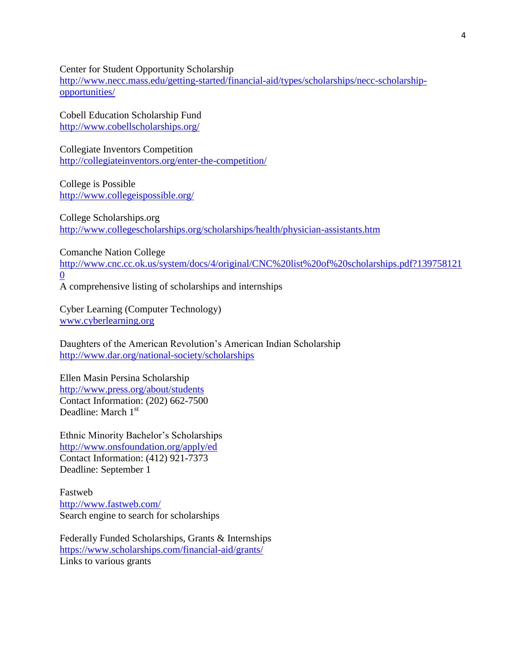Center for Student Opportunity Scholarship

[http://www.necc.mass.edu/getting-started/financial-aid/types/scholarships/necc-scholarship](http://www.necc.mass.edu/getting-started/financial-aid/types/scholarships/necc-scholarship-opportunities/)[opportunities/](http://www.necc.mass.edu/getting-started/financial-aid/types/scholarships/necc-scholarship-opportunities/)

Cobell Education Scholarship Fund <http://www.cobellscholarships.org/>

Collegiate Inventors Competition <http://collegiateinventors.org/enter-the-competition/>

College is Possible <http://www.collegeispossible.org/>

College Scholarships.org <http://www.collegescholarships.org/scholarships/health/physician-assistants.htm>

Comanche Nation College

[http://www.cnc.cc.ok.us/system/docs/4/original/CNC%20list%20of%20scholarships.pdf?139758121](http://www.cnc.cc.ok.us/system/docs/4/original/CNC%20list%20of%20scholarships.pdf?1397581210) [0](http://www.cnc.cc.ok.us/system/docs/4/original/CNC%20list%20of%20scholarships.pdf?1397581210)

A comprehensive listing of scholarships and internships

Cyber Learning (Computer Technology) [www.cyberlearning.org](http://www.cyberlearning.org/)

Daughters of the American Revolution's American Indian Scholarship <http://www.dar.org/national-society/scholarships>

Ellen Masin Persina Scholarship <http://www.press.org/about/students> Contact Information: (202) 662-7500 Deadline: March 1<sup>st</sup>

Ethnic Minority Bachelor's Scholarships <http://www.onsfoundation.org/apply/ed> Contact Information: (412) 921-7373 Deadline: September 1

Fastweb <http://www.fastweb.com/> Search engine to search for scholarships

Federally Funded Scholarships, Grants & Internships <https://www.scholarships.com/financial-aid/grants/> Links to various grants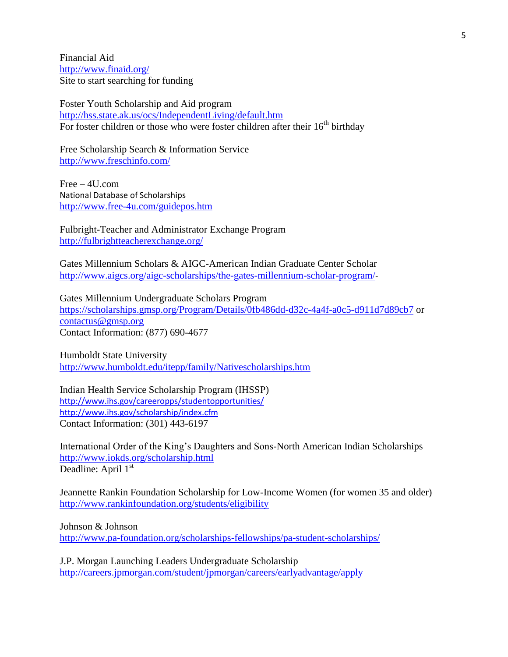Financial Aid <http://www.finaid.org/> Site to start searching for funding

Foster Youth Scholarship and Aid program <http://hss.state.ak.us/ocs/IndependentLiving/default.htm> For foster children or those who were foster children after their  $16<sup>th</sup>$  birthday

Free Scholarship Search & Information Service <http://www.freschinfo.com/>

Free – 4U.com National Database of Scholarships <http://www.free-4u.com/guidepos.htm>

Fulbright-Teacher and Administrator Exchange Program <http://fulbrightteacherexchange.org/>

Gates Millennium Scholars & AIGC-American Indian Graduate Center Scholar <http://www.aigcs.org/aigc-scholarships/the-gates-millennium-scholar-program/>-

Gates Millennium Undergraduate Scholars Program <https://scholarships.gmsp.org/Program/Details/0fb486dd-d32c-4a4f-a0c5-d911d7d89cb7> or [contactus@gmsp.org](mailto:contactus@gmsp.org) Contact Information: (877) 690-4677

Humboldt State University <http://www.humboldt.edu/itepp/family/Nativescholarships.htm>

Indian Health Service Scholarship Program (IHSSP) <http://www.ihs.gov/careeropps/studentopportunities/> <http://www.ihs.gov/scholarship/index.cfm> Contact Information: (301) 443-6197

International Order of the King's Daughters and Sons-North American Indian Scholarships <http://www.iokds.org/scholarship.html> Deadline: April 1<sup>st</sup>

Jeannette Rankin Foundation Scholarship for Low-Income Women (for women 35 and older) <http://www.rankinfoundation.org/students/eligibility>

Johnson & Johnson <http://www.pa-foundation.org/scholarships-fellowships/pa-student-scholarships/>

J.P. Morgan Launching Leaders Undergraduate Scholarship <http://careers.jpmorgan.com/student/jpmorgan/careers/earlyadvantage/apply>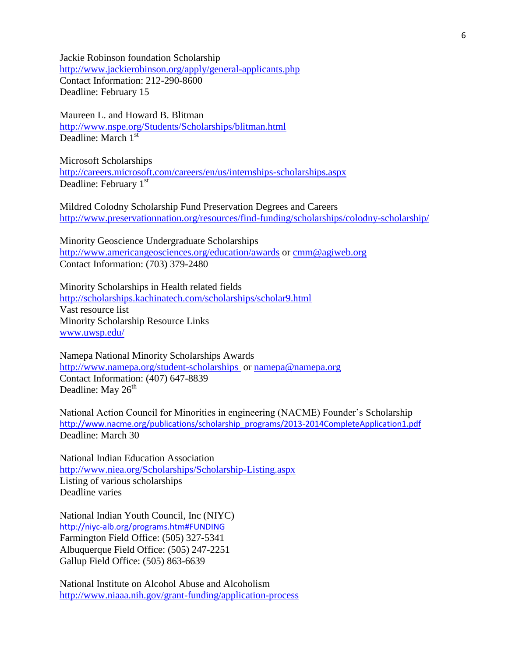Jackie Robinson foundation Scholarship <http://www.jackierobinson.org/apply/general-applicants.php> Contact Information: 212-290-8600 Deadline: February 15

Maureen L. and Howard B. Blitman <http://www.nspe.org/Students/Scholarships/blitman.html> Deadline: March 1<sup>st</sup>

Microsoft Scholarships <http://careers.microsoft.com/careers/en/us/internships-scholarships.aspx> Deadline: February 1<sup>st</sup>

Mildred Colodny Scholarship Fund Preservation Degrees and Careers <http://www.preservationnation.org/resources/find-funding/scholarships/colodny-scholarship/>

Minority Geoscience Undergraduate Scholarships <http://www.americangeosciences.org/education/awards> or [cmm@agiweb.org](mailto:cmm@agiweb.org) Contact Information: (703) 379-2480

Minority Scholarships in Health related fields <http://scholarships.kachinatech.com/scholarships/scholar9.html> Vast resource list Minority Scholarship Resource Links [www.uwsp.edu/](http://www.uwsp.edu/)

Namepa National Minority Scholarships Awards <http://www.namepa.org/student-scholarships>or [namepa@namepa.org](mailto:namepa@namepa.org) Contact Information: (407) 647-8839 Deadline: May  $26<sup>th</sup>$ 

National Action Council for Minorities in engineering (NACME) Founder's Scholarship [http://www.nacme.org/publications/scholarship\\_programs/2013-2014CompleteApplication1.pdf](http://www.nacme.org/publications/scholarship_programs/2013-2014CompleteApplication1.pdf) Deadline: March 30

National Indian Education Association <http://www.niea.org/Scholarships/Scholarship-Listing.aspx> Listing of various scholarships Deadline varies

National Indian Youth Council, Inc (NIYC) <http://niyc-alb.org/programs.htm#FUNDING> Farmington Field Office: (505) 327-5341 Albuquerque Field Office: (505) 247-2251 Gallup Field Office: (505) 863-6639

National Institute on Alcohol Abuse and Alcoholism <http://www.niaaa.nih.gov/grant-funding/application-process>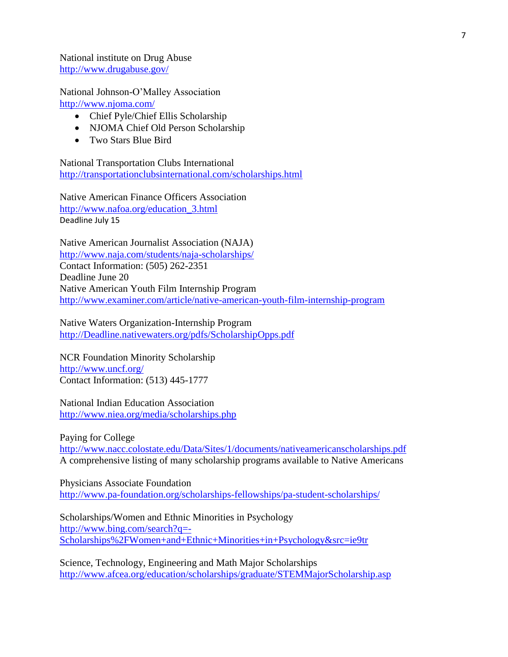National institute on Drug Abuse <http://www.drugabuse.gov/>

National Johnson-O'Malley Association <http://www.njoma.com/>

- Chief Pyle/Chief Ellis Scholarship
- NJOMA Chief Old Person Scholarship
- Two Stars Blue Bird

National Transportation Clubs International <http://transportationclubsinternational.com/scholarships.html>

Native American Finance Officers Association [http://www.nafoa.org/education\\_3.html](http://www.nafoa.org/education_3.html) Deadline July 15

Native American Journalist Association (NAJA) <http://www.naja.com/students/naja-scholarships/> Contact Information: (505) 262-2351 Deadline June 20 Native American Youth Film Internship Program <http://www.examiner.com/article/native-american-youth-film-internship-program>

Native Waters Organization-Internship Program [http://Deadline.nativewaters.org/pdfs/ScholarshipOpps.pdf](http://deadline.nativewaters.org/pdfs/ScholarshipOpps.pdf)

NCR Foundation Minority Scholarship <http://www.uncf.org/> Contact Information: (513) 445-1777

National Indian Education Association <http://www.niea.org/media/scholarships.php>

Paying for College <http://www.nacc.colostate.edu/Data/Sites/1/documents/nativeamericanscholarships.pdf> A comprehensive listing of many scholarship programs available to Native Americans

Physicians Associate Foundation <http://www.pa-foundation.org/scholarships-fellowships/pa-student-scholarships/>

Scholarships/Women and Ethnic Minorities in Psychology [http://www.bing.com/search?q=-](http://www.bing.com/search?q=-Scholarships%2FWomen+and+Ethnic+Minorities+in+Psychology&src=ie9tr) [Scholarships%2FWomen+and+Ethnic+Minorities+in+Psychology&src=ie9tr](http://www.bing.com/search?q=-Scholarships%2FWomen+and+Ethnic+Minorities+in+Psychology&src=ie9tr)

Science, Technology, Engineering and Math Major Scholarships <http://www.afcea.org/education/scholarships/graduate/STEMMajorScholarship.asp>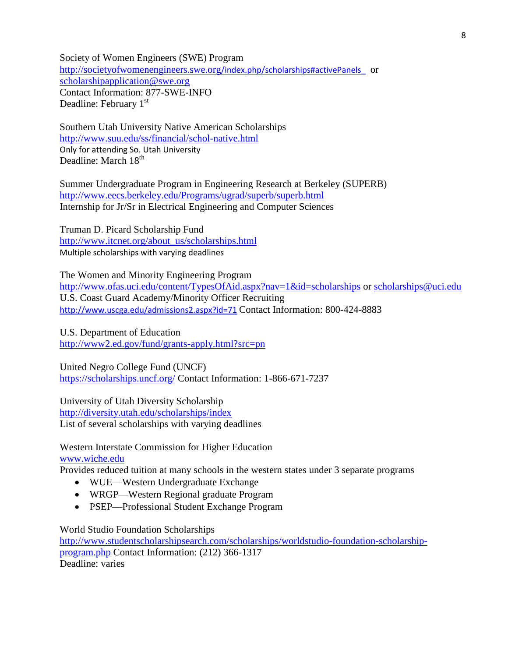Society of Women Engineers (SWE) Program [http://societyofwomenengineers.swe.org](http://societyofwomenengineers.swe.org/index.php/scholarships#activePanels_)/index.php/scholarships#activePanels\_ or [scholarshipapplication@swe.org](mailto:scholarshipapplication@swe.org) Contact Information: 877-SWE-INFO Deadline: February 1<sup>st</sup>

Southern Utah University Native American Scholarships <http://www.suu.edu/ss/financial/schol-native.html> Only for attending So. Utah University Deadline: March 18<sup>th</sup>

Summer Undergraduate Program in Engineering Research at Berkeley (SUPERB) <http://www.eecs.berkeley.edu/Programs/ugrad/superb/superb.html> Internship for Jr/Sr in Electrical Engineering and Computer Sciences

Truman D. Picard Scholarship Fund [http://www.itcnet.org/about\\_us/scholarships.html](http://www.itcnet.org/about_us/scholarships.html) Multiple scholarships with varying deadlines

The Women and Minority Engineering Program <http://www.ofas.uci.edu/content/TypesOfAid.aspx?nav=1&id=scholarships> or [scholarships@uci.edu](mailto:scholarships@uci.edu) U.S. Coast Guard Academy/Minority Officer Recruiting <http://www.uscga.edu/admissions2.aspx?id=71> Contact Information: 800-424-8883

U.S. Department of Education <http://www2.ed.gov/fund/grants-apply.html?src=pn>

United Negro College Fund (UNCF) <https://scholarships.uncf.org/> Contact Information: 1-866-671-7237

University of Utah Diversity Scholarship <http://diversity.utah.edu/scholarships/index> List of several scholarships with varying deadlines

Western Interstate Commission for Higher Education [www.wiche.edu](http://www.wiche.edu/)

Provides reduced tuition at many schools in the western states under 3 separate programs

- WUE—Western Undergraduate Exchange
- WRGP—Western Regional graduate Program
- PSEP—Professional Student Exchange Program

World Studio Foundation Scholarships

[http://www.studentscholarshipsearch.com/scholarships/worldstudio-foundation-scholarship](http://www.studentscholarshipsearch.com/scholarships/worldstudio-foundation-scholarship-program.php)[program.php](http://www.studentscholarshipsearch.com/scholarships/worldstudio-foundation-scholarship-program.php) Contact Information: (212) 366-1317 Deadline: varies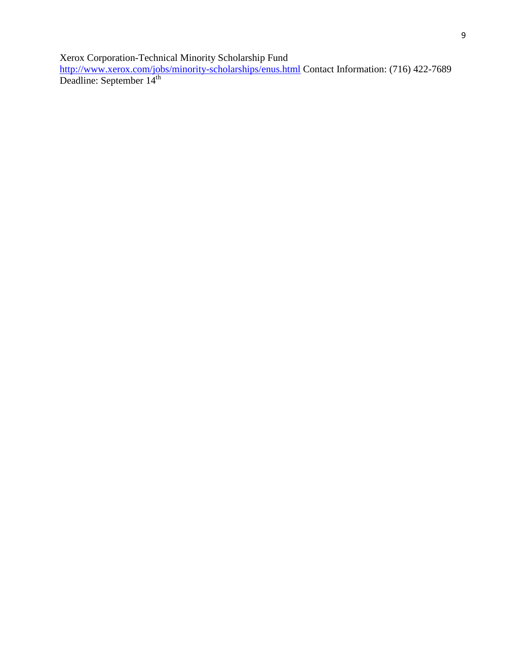Xerox Corporation-Technical Minority Scholarship Fund

<http://www.xerox.com/jobs/minority-scholarships/enus.html> Contact Information: (716) 422-7689 Deadline: September 14<sup>th</sup>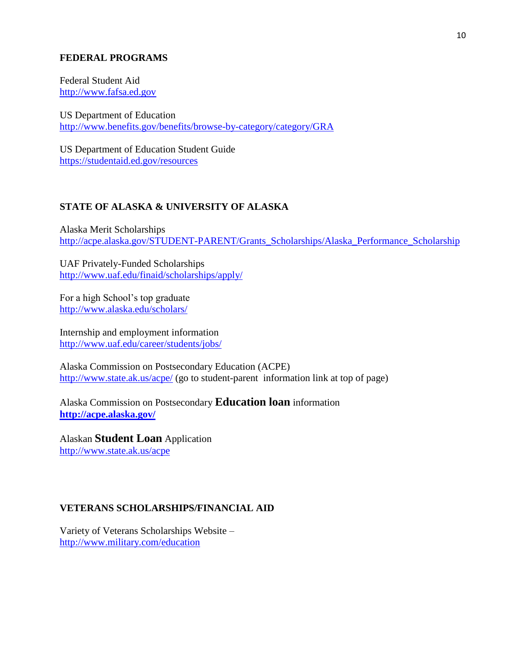#### **FEDERAL PROGRAMS**

Federal Student Aid [http://www.fafsa.ed.gov](http://www.fafsa.ed.gov/)

US Department of Education <http://www.benefits.gov/benefits/browse-by-category/category/GRA>

US Department of Education Student Guide <https://studentaid.ed.gov/resources>

#### **STATE OF ALASKA & UNIVERSITY OF ALASKA**

Alaska Merit Scholarships [http://acpe.alaska.gov/STUDENT-PARENT/Grants\\_Scholarships/Alaska\\_Performance\\_Scholarship](http://acpe.alaska.gov/STUDENT-PARENT/Grants_Scholarships/Alaska_Performance_Scholarship)

UAF Privately-Funded Scholarships <http://www.uaf.edu/finaid/scholarships/apply/>

For a high School's top graduate <http://www.alaska.edu/scholars/>

Internship and employment information <http://www.uaf.edu/career/students/jobs/>

Alaska Commission on Postsecondary Education (ACPE) <http://www.state.ak.us/acpe/> (go to student-parent information link at top of page)

Alaska Commission on Postsecondary **Education loan** information **<http://acpe.alaska.gov/>**

Alaskan **Student Loan** Application <http://www.state.ak.us/acpe>

#### **VETERANS SCHOLARSHIPS/FINANCIAL AID**

Variety of Veterans Scholarships Website – <http://www.military.com/education>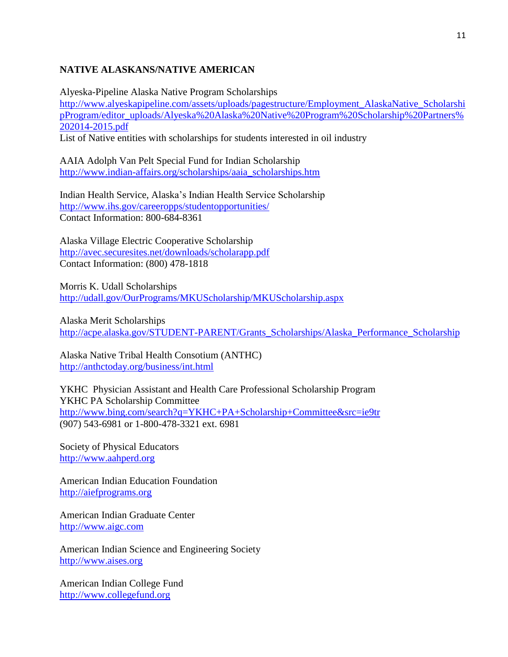#### **NATIVE ALASKANS/NATIVE AMERICAN**

Alyeska-Pipeline Alaska Native Program Scholarships [http://www.alyeskapipeline.com/assets/uploads/pagestructure/Employment\\_AlaskaNative\\_Scholarshi](http://www.alyeskapipeline.com/assets/uploads/pagestructure/Employment_AlaskaNative_ScholarshipProgram/editor_uploads/Alyeska%20Alaska%20Native%20Program%20Scholarship%20Partners%202014-2015.pdf) [pProgram/editor\\_uploads/Alyeska%20Alaska%20Native%20Program%20Scholarship%20Partners%](http://www.alyeskapipeline.com/assets/uploads/pagestructure/Employment_AlaskaNative_ScholarshipProgram/editor_uploads/Alyeska%20Alaska%20Native%20Program%20Scholarship%20Partners%202014-2015.pdf) [202014-2015.pdf](http://www.alyeskapipeline.com/assets/uploads/pagestructure/Employment_AlaskaNative_ScholarshipProgram/editor_uploads/Alyeska%20Alaska%20Native%20Program%20Scholarship%20Partners%202014-2015.pdf) List of Native entities with scholarships for students interested in oil industry

AAIA Adolph Van Pelt Special Fund for Indian Scholarship [http://www.indian-affairs.org/scholarships/aaia\\_scholarships.htm](http://www.indian-affairs.org/scholarships/aaia_scholarships.htm)

Indian Health Service, Alaska's Indian Health Service Scholarship <http://www.ihs.gov/careeropps/studentopportunities/> Contact Information: 800-684-8361

Alaska Village Electric Cooperative Scholarship <http://avec.securesites.net/downloads/scholarapp.pdf> Contact Information: (800) 478-1818

Morris K. Udall Scholarships <http://udall.gov/OurPrograms/MKUScholarship/MKUScholarship.aspx>

Alaska Merit Scholarships [http://acpe.alaska.gov/STUDENT-PARENT/Grants\\_Scholarships/Alaska\\_Performance\\_Scholarship](http://acpe.alaska.gov/STUDENT-PARENT/Grants_Scholarships/Alaska_Performance_Scholarship)

Alaska Native Tribal Health Consotium (ANTHC) <http://anthctoday.org/business/int.html>

YKHC Physician Assistant and Health Care Professional Scholarship Program YKHC PA Scholarship Committee <http://www.bing.com/search?q=YKHC+PA+Scholarship+Committee&src=ie9tr> (907) 543-6981 or 1-800-478-3321 ext. 6981

Society of Physical Educators [http://www.aahperd.org](http://www.aahperd.org/)

American Indian Education Foundation [http://aiefprograms.org](http://aiefprograms.org/)

American Indian Graduate Center [http://www.aigc.com](http://www.aigc.com/)

American Indian Science and Engineering Society [http://www.aises.org](http://www.aises.org/)

American Indian College Fund [http://www.collegefund.org](http://www.collegefund.org/)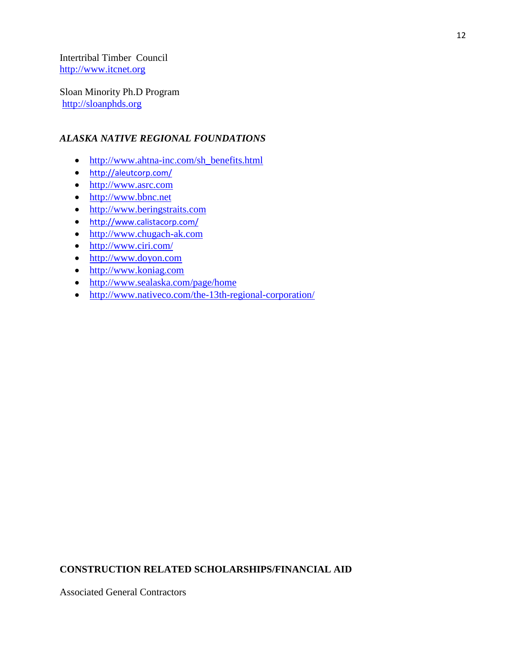Intertribal Timber Council [http://www.itcnet.org](http://www.itcnet.org/)

Sloan Minority Ph.D Program [http://sloanphds.org](http://sloanphds.org/)

#### *ALASKA NATIVE REGIONAL FOUNDATIONS*

- [http://www.ahtna-inc.com/sh\\_benefits.html](http://www.ahtna-inc.com/sh_benefits.html)
- <http://aleutcorp.com/>
- [http://www.asrc.com](http://www.asrc.com/)
- [http://www.bbnc.net](http://www.bbnc.net/)
- [http://www.beringstraits.com](http://www.beringstraits.com/)
- <http://www.calistacorp.com/>
- [http://www.chugach-ak.com](http://www.chugach-ak.com/)
- $\bullet$  <http://www.ciri.com/>
- [http://www.doyon.com](http://doyon.com/)
- [http://www.koniag.com](http://www.koniag.com/)
- <http://www.sealaska.com/page/home>
- <http://www.nativeco.com/the-13th-regional-corporation/>

### **CONSTRUCTION RELATED SCHOLARSHIPS/FINANCIAL AID**

Associated General Contractors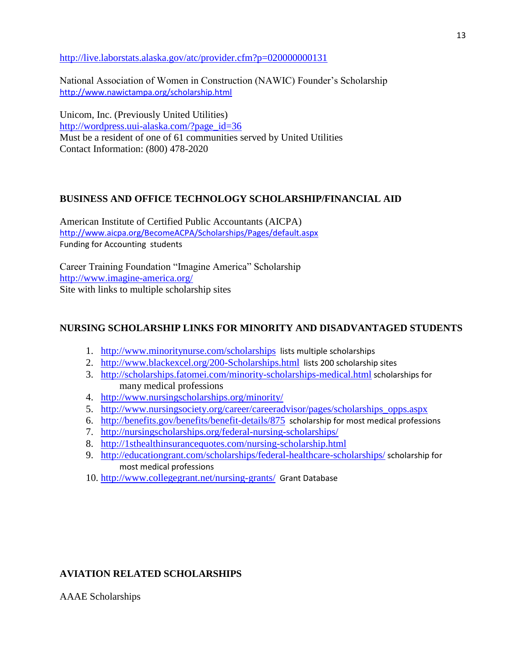<http://live.laborstats.alaska.gov/atc/provider.cfm?p=020000000131>

National Association of Women in Construction (NAWIC) Founder's Scholarship <http://www.nawictampa.org/scholarship.html>

Unicom, Inc. (Previously United Utilities) [http://wordpress.uui-alaska.com/?page\\_id=36](http://wordpress.uui-alaska.com/?page_id=36) Must be a resident of one of 61 communities served by United Utilities Contact Information: (800) 478-2020

#### **BUSINESS AND OFFICE TECHNOLOGY SCHOLARSHIP/FINANCIAL AID**

American Institute of Certified Public Accountants (AICPA) <http://www.aicpa.org/BecomeACPA/Scholarships/Pages/default.aspx> Funding for Accounting students

Career Training Foundation "Imagine America" Scholarship <http://www.imagine-america.org/> Site with links to multiple scholarship sites

#### **NURSING SCHOLARSHIP LINKS FOR MINORITY AND DISADVANTAGED STUDENTS**

- 1. <http://www.minoritynurse.com/scholarships> lists multiple scholarships
- 2. <http://www.blackexcel.org/200-Scholarships.html> lists 200 scholarship sites
- 3. <http://scholarships.fatomei.com/minority-scholarships-medical.html> scholarships for many medical professions
- 4. <http://www.nursingscholarships.org/minority/>
- 5. [http://www.nursingsociety.org/career/careeradvisor/pages/scholarships\\_opps.aspx](http://www.nursingsociety.org/career/careeradvisor/pages/scholarships_opps.aspx)
- 6. <http://benefits.gov/benefits/benefit-details/875> scholarship for most medical professions
- 7. <http://nursingscholarships.org/federal-nursing-scholarships/>
- 8. <http://1sthealthinsurancequotes.com/nursing-scholarship.html>
- 9. <http://educationgrant.com/scholarships/federal-healthcare-scholarships/> scholarship for most medical professions
- 10. <http://www.collegegrant.net/nursing-grants/> Grant Database

#### **AVIATION RELATED SCHOLARSHIPS**

AAAE Scholarships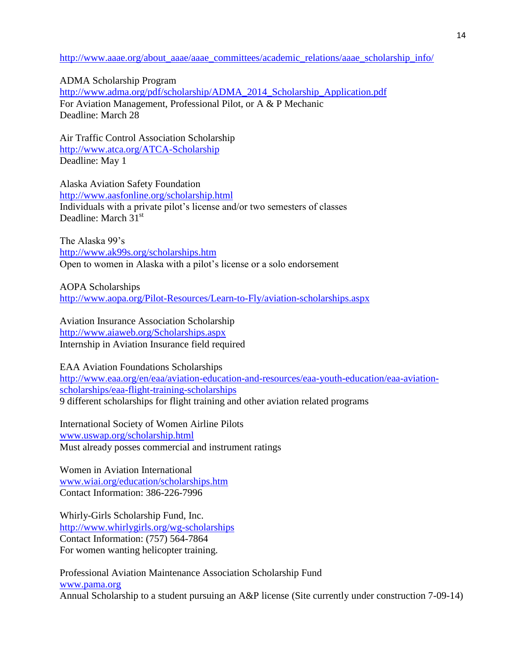#### [http://www.aaae.org/about\\_aaae/aaae\\_committees/academic\\_relations/aaae\\_scholarship\\_info/](http://www.aaae.org/about_aaae/aaae_committees/academic_relations/aaae_scholarship_info/)

ADMA Scholarship Program [http://www.adma.org/pdf/scholarship/ADMA\\_2014\\_Scholarship\\_Application.pdf](http://www.adma.org/pdf/scholarship/ADMA_2014_Scholarship_Application.pdf) For Aviation Management, Professional Pilot, or A & P Mechanic Deadline: March 28

Air Traffic Control Association Scholarship <http://www.atca.org/ATCA-Scholarship> Deadline: May 1

Alaska Aviation Safety Foundation <http://www.aasfonline.org/scholarship.html> Individuals with a private pilot's license and/or two semesters of classes Deadline: March 31<sup>st</sup>

The Alaska 99's <http://www.ak99s.org/scholarships.htm> Open to women in Alaska with a pilot's license or a solo endorsement

AOPA Scholarships <http://www.aopa.org/Pilot-Resources/Learn-to-Fly/aviation-scholarships.aspx>

Aviation Insurance Association Scholarship <http://www.aiaweb.org/Scholarships.aspx> Internship in Aviation Insurance field required

EAA Aviation Foundations Scholarships [http://www.eaa.org/en/eaa/aviation-education-and-resources/eaa-youth-education/eaa-aviation](http://www.eaa.org/en/eaa/aviation-education-and-resources/eaa-youth-education/eaa-aviation-scholarships/eaa-flight-training-scholarships)[scholarships/eaa-flight-training-scholarships](http://www.eaa.org/en/eaa/aviation-education-and-resources/eaa-youth-education/eaa-aviation-scholarships/eaa-flight-training-scholarships) 9 different scholarships for flight training and other aviation related programs

International Society of Women Airline Pilots [www.uswap.org/scholarship.html](http://www.uswap.org/scholarship.html) Must already posses commercial and instrument ratings

Women in Aviation International [www.wiai.org/education/scholarships.htm](http://www.wiai.org/education/scholarships.htm) Contact Information: 386-226-7996

Whirly-Girls Scholarship Fund, Inc. <http://www.whirlygirls.org/wg-scholarships> Contact Information: (757) 564-7864 For women wanting helicopter training.

Professional Aviation Maintenance Association Scholarship Fund [www.pama.org](http://www.pama.org/) Annual Scholarship to a student pursuing an A&P license (Site currently under construction 7-09-14)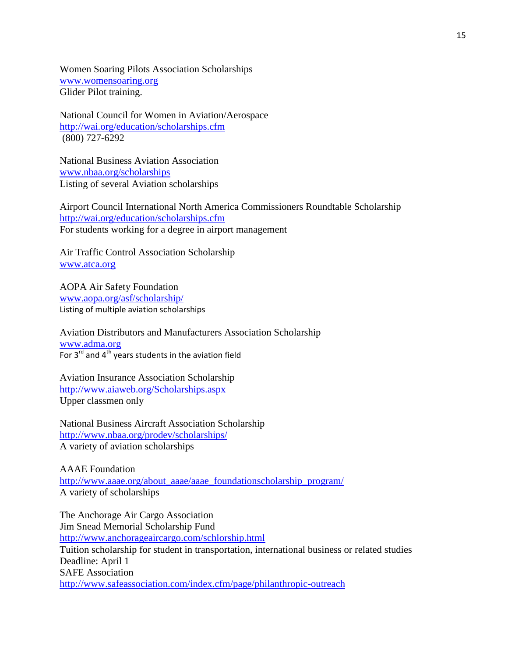Women Soaring Pilots Association Scholarships [www.womensoaring.org](http://www.womensoaring.org/) Glider Pilot training.

National Council for Women in Aviation/Aerospace <http://wai.org/education/scholarships.cfm> (800) 727-6292

National Business Aviation Association [www.nbaa.org/scholarships](http://www.nbaa.org/scholarships) Listing of several Aviation scholarships

Airport Council International North America Commissioners Roundtable Scholarship <http://wai.org/education/scholarships.cfm> For students working for a degree in airport management

Air Traffic Control Association Scholarship [www.atca.org](http://www.atca.org/)

AOPA Air Safety Foundation [www.aopa.org/asf/scholarship/](http://www.aopa.org/asf/scholarship/) Listing of multiple aviation scholarships

Aviation Distributors and Manufacturers Association Scholarship [www.adma.org](http://www.adma.org/) For  $3^{\text{rd}}$  and  $4^{\text{th}}$  years students in the aviation field

Aviation Insurance Association Scholarship <http://www.aiaweb.org/Scholarships.aspx> Upper classmen only

National Business Aircraft Association Scholarship <http://www.nbaa.org/prodev/scholarships/> A variety of aviation scholarships

AAAE Foundation [http://www.aaae.org/about\\_aaae/aaae\\_foundationscholarship\\_program/](http://www.aaae.org/about_aaae/aaae_foundationscholarship_program/) A variety of scholarships

The Anchorage Air Cargo Association Jim Snead Memorial Scholarship Fund <http://www.anchorageaircargo.com/schlorship.html> Tuition scholarship for student in transportation, international business or related studies Deadline: April 1 SAFE Association <http://www.safeassociation.com/index.cfm/page/philanthropic-outreach>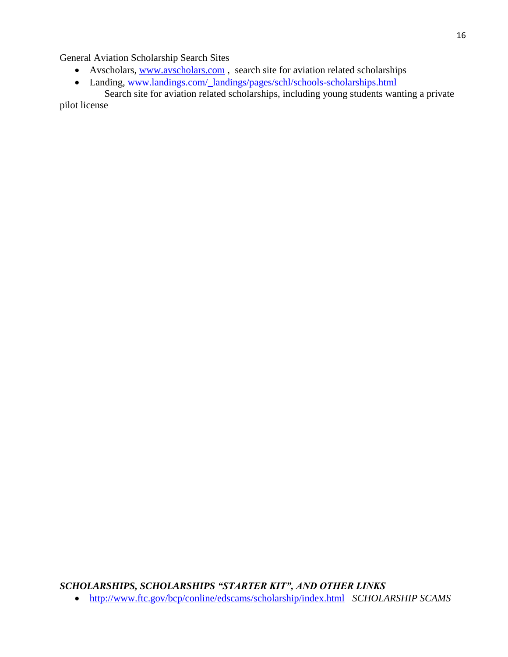General Aviation Scholarship Search Sites

- Avscholars, [www.avscholars.com](http://www.avscholars.com/), search site for aviation related scholarships
- Landing, [www.landings.com/\\_landings/pages/schl/schools-scholarships.html](http://www.landings.com/_landings/pages/schl/schools-scholarships.html)

 Search site for aviation related scholarships, including young students wanting a private pilot license

*SCHOLARSHIPS, SCHOLARSHIPS "STARTER KIT", AND OTHER LINKS*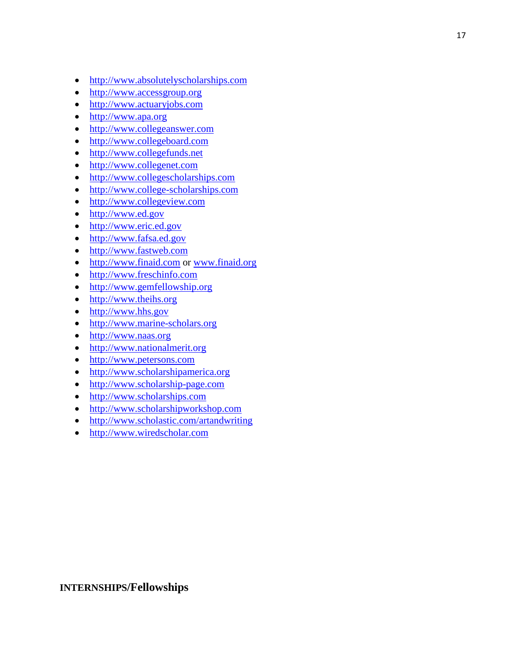- [http://www.absolutelyscholarships.com](http://www.absolutelyscholarships.com/)
- [http://www.accessgroup.org](http://www.accessgroup.org/)
- [http://www.actuaryjobs.com](http://www.actuaryjobs.com/)
- [http://www.apa.org](http://www.apa.org/)
- [http://www.collegeanswer.com](http://www.collegeanswer.com/)
- [http://www.collegeboard.com](http://www.collegeboard.com/)
- [http://www.collegefunds.net](http://www.collegefunds.net/)
- [http://www.collegenet.com](http://www.collegenet.com/)
- [http://www.collegescholarships.com](http://www.collegescholarships.com/)
- [http://www.college-scholarships.com](http://www.college-scholarships.com/)
- [http://www.collegeview.com](http://collegeview.com/)
- [http://www.ed.gov](http://www.ed.gov/)
- [http://www.eric.ed.gov](http://www.eric.ed.gov/)
- [http://www.fafsa.ed.gov](http://www.fafsa.ed.gov/)
- [http://www.fastweb.com](http://www.fastweb.com/)
- [http://www.finaid.com](http://www.finaid.com/) or [www.finaid.org](http://www.finaid.org/)
- [http://www.freschinfo.com](http://www.freschinfo.com/)
- [http://www.gemfellowship.org](http://www.gemfellowship.org/)
- [http://www.theihs.org](http://www.theihs.org/)
- [http://www.hhs.gov](http://www.hhs.gov/)
- [http://www.marine-scholars.org](http://www.marine-scholars.org/)
- [http://www.naas.org](http://www.naas.org/)
- [http://www.nationalmerit.org](http://www.nationalmerit.org/)
- [http://www.petersons.com](http://www.petersons.com/)
- [http://www.scholarshipamerica.org](http://www.scholarshipamerica.org/)
- [http://www.scholarship-page.com](http://www.scholarship-page.com/)
- [http://www.scholarships.com](http://www.scholarships.com/)
- [http://www.scholarshipworkshop.com](http://www.scholarshipworkshop.com/)
- <http://www.scholastic.com/artandwriting>
- [http://www.wiredscholar.com](http://www.wiredscholar.com/)

## **INTERNSHIPS/Fellowships**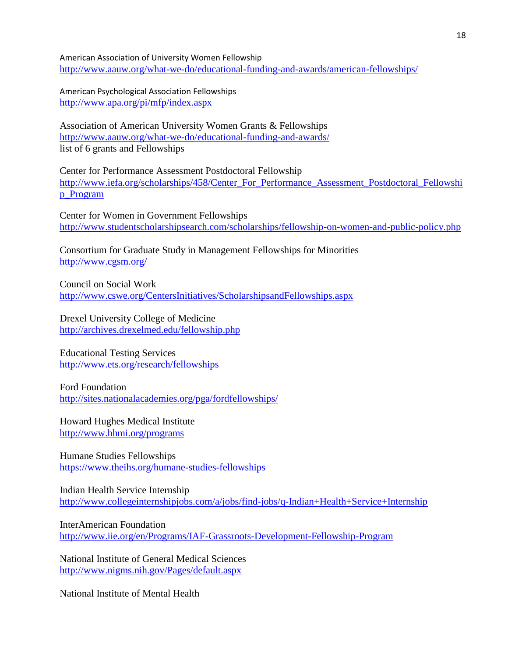American Association of University Women Fellowship <http://www.aauw.org/what-we-do/educational-funding-and-awards/american-fellowships/>

American Psychological Association Fellowships <http://www.apa.org/pi/mfp/index.aspx>

Association of American University Women Grants & Fellowships <http://www.aauw.org/what-we-do/educational-funding-and-awards/> list of 6 grants and Fellowships

Center for Performance Assessment Postdoctoral Fellowship [http://www.iefa.org/scholarships/458/Center\\_For\\_Performance\\_Assessment\\_Postdoctoral\\_Fellowshi](http://www.iefa.org/scholarships/458/Center_For_Performance_Assessment_Postdoctoral_Fellowship_Program) [p\\_Program](http://www.iefa.org/scholarships/458/Center_For_Performance_Assessment_Postdoctoral_Fellowship_Program)

Center for Women in Government Fellowships <http://www.studentscholarshipsearch.com/scholarships/fellowship-on-women-and-public-policy.php>

Consortium for Graduate Study in Management Fellowships for Minorities <http://www.cgsm.org/>

Council on Social Work <http://www.cswe.org/CentersInitiatives/ScholarshipsandFellowships.aspx>

Drexel University College of Medicine <http://archives.drexelmed.edu/fellowship.php>

Educational Testing Services <http://www.ets.org/research/fellowships>

Ford Foundation <http://sites.nationalacademies.org/pga/fordfellowships/>

Howard Hughes Medical Institute <http://www.hhmi.org/programs>

Humane Studies Fellowships <https://www.theihs.org/humane-studies-fellowships>

Indian Health Service Internship <http://www.collegeinternshipjobs.com/a/jobs/find-jobs/q-Indian+Health+Service+Internship>

InterAmerican Foundation <http://www.iie.org/en/Programs/IAF-Grassroots-Development-Fellowship-Program>

National Institute of General Medical Sciences <http://www.nigms.nih.gov/Pages/default.aspx>

National Institute of Mental Health